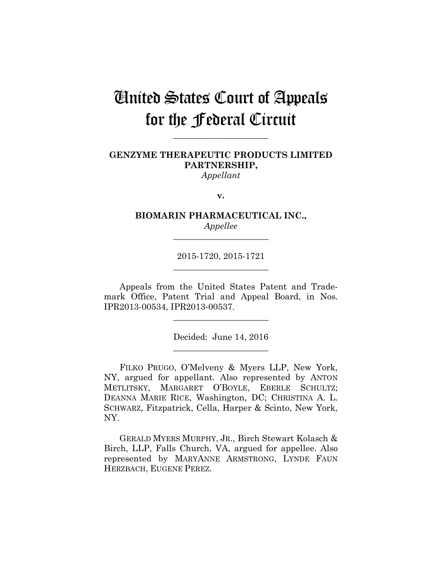# United States Court of Appeals for the Federal Circuit

**\_\_\_\_\_\_\_\_\_\_\_\_\_\_\_\_\_\_\_\_\_\_** 

# **GENZYME THERAPEUTIC PRODUCTS LIMITED PARTNERSHIP,** *Appellant*

**v.**

**BIOMARIN PHARMACEUTICAL INC.,** *Appellee*

**\_\_\_\_\_\_\_\_\_\_\_\_\_\_\_\_\_\_\_\_\_\_** 

2015-1720, 2015-1721 **\_\_\_\_\_\_\_\_\_\_\_\_\_\_\_\_\_\_\_\_\_\_** 

Appeals from the United States Patent and Trademark Office, Patent Trial and Appeal Board, in Nos. IPR2013-00534, IPR2013-00537.

> Decided: June 14, 2016 **\_\_\_\_\_\_\_\_\_\_\_\_\_\_\_\_\_\_\_\_\_\_**

**\_\_\_\_\_\_\_\_\_\_\_\_\_\_\_\_\_\_\_\_\_\_** 

FILKO PRUGO, O'Melveny & Myers LLP, New York, NY, argued for appellant. Also represented by ANTON METLITSKY, MARGARET O'BOYLE, EBERLE SCHULTZ; DEANNA MARIE RICE, Washington, DC; CHRISTINA A. L. SCHWARZ, Fitzpatrick, Cella, Harper & Scinto, New York, NY.

GERALD MYERS MURPHY, JR., Birch Stewart Kolasch & Birch, LLP, Falls Church, VA, argued for appellee. Also represented by MARYANNE ARMSTRONG, LYNDE FAUN HERZBACH, EUGENE PEREZ.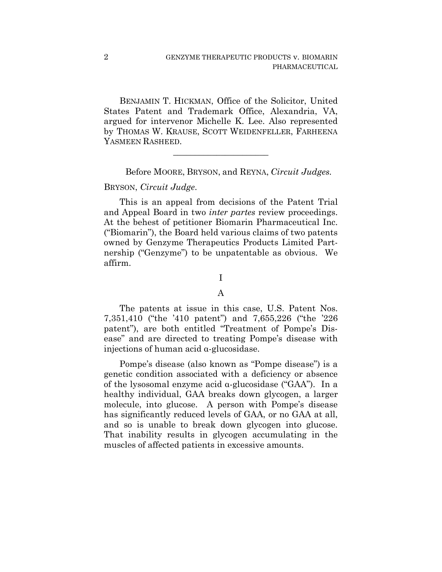BENJAMIN T. HICKMAN, Office of the Solicitor, United States Patent and Trademark Office, Alexandria, VA, argued for intervenor Michelle K. Lee. Also represented by THOMAS W. KRAUSE, SCOTT WEIDENFELLER, FARHEENA YASMEEN RASHEED.

**\_\_\_\_\_\_\_\_\_\_\_\_\_\_\_\_\_\_\_\_\_\_** 

Before MOORE, BRYSON, and REYNA, *Circuit Judges.*

## BRYSON, *Circuit Judge*.

This is an appeal from decisions of the Patent Trial and Appeal Board in two *inter partes* review proceedings. At the behest of petitioner Biomarin Pharmaceutical Inc. ("Biomarin"), the Board held various claims of two patents owned by Genzyme Therapeutics Products Limited Partnership ("Genzyme") to be unpatentable as obvious. We affirm.

# I

#### A

The patents at issue in this case, U.S. Patent Nos. 7,351,410 ("the '410 patent") and 7,655,226 ("the '226 patent"), are both entitled "Treatment of Pompe's Disease" and are directed to treating Pompe's disease with injections of human acid α-glucosidase.

Pompe's disease (also known as "Pompe disease") is a genetic condition associated with a deficiency or absence of the lysosomal enzyme acid α-glucosidase ("GAA"). In a healthy individual, GAA breaks down glycogen, a larger molecule, into glucose. A person with Pompe's disease has significantly reduced levels of GAA, or no GAA at all, and so is unable to break down glycogen into glucose. That inability results in glycogen accumulating in the muscles of affected patients in excessive amounts.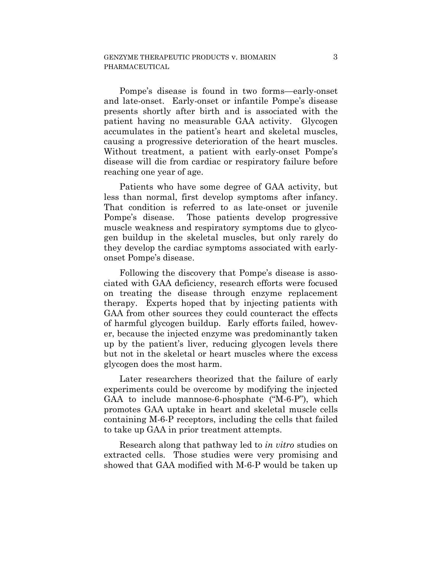Pompe's disease is found in two forms—early-onset and late-onset. Early-onset or infantile Pompe's disease presents shortly after birth and is associated with the patient having no measurable GAA activity. Glycogen accumulates in the patient's heart and skeletal muscles, causing a progressive deterioration of the heart muscles. Without treatment, a patient with early-onset Pompe's disease will die from cardiac or respiratory failure before reaching one year of age.

Patients who have some degree of GAA activity, but less than normal, first develop symptoms after infancy. That condition is referred to as late-onset or juvenile Pompe's disease. Those patients develop progressive muscle weakness and respiratory symptoms due to glycogen buildup in the skeletal muscles, but only rarely do they develop the cardiac symptoms associated with earlyonset Pompe's disease.

Following the discovery that Pompe's disease is associated with GAA deficiency, research efforts were focused on treating the disease through enzyme replacement therapy. Experts hoped that by injecting patients with GAA from other sources they could counteract the effects of harmful glycogen buildup. Early efforts failed, however, because the injected enzyme was predominantly taken up by the patient's liver, reducing glycogen levels there but not in the skeletal or heart muscles where the excess glycogen does the most harm.

Later researchers theorized that the failure of early experiments could be overcome by modifying the injected GAA to include mannose-6-phosphate ("M-6-P"), which promotes GAA uptake in heart and skeletal muscle cells containing M-6-P receptors, including the cells that failed to take up GAA in prior treatment attempts.

Research along that pathway led to *in vitro* studies on extracted cells. Those studies were very promising and showed that GAA modified with M-6-P would be taken up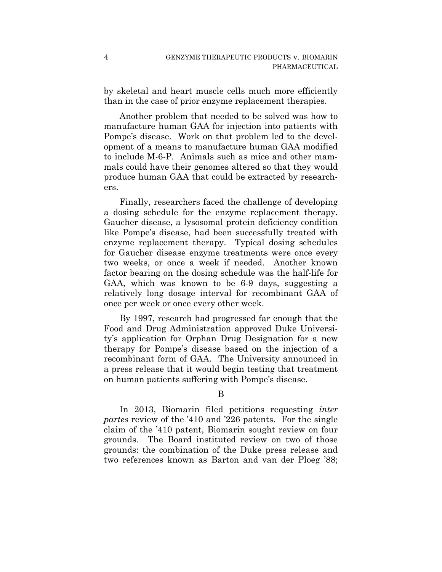by skeletal and heart muscle cells much more efficiently than in the case of prior enzyme replacement therapies.

Another problem that needed to be solved was how to manufacture human GAA for injection into patients with Pompe's disease. Work on that problem led to the development of a means to manufacture human GAA modified to include M-6-P. Animals such as mice and other mammals could have their genomes altered so that they would produce human GAA that could be extracted by researchers.

Finally, researchers faced the challenge of developing a dosing schedule for the enzyme replacement therapy. Gaucher disease, a lysosomal protein deficiency condition like Pompe's disease, had been successfully treated with enzyme replacement therapy. Typical dosing schedules for Gaucher disease enzyme treatments were once every two weeks, or once a week if needed. Another known factor bearing on the dosing schedule was the half-life for GAA, which was known to be 6-9 days, suggesting a relatively long dosage interval for recombinant GAA of once per week or once every other week.

By 1997, research had progressed far enough that the Food and Drug Administration approved Duke University's application for Orphan Drug Designation for a new therapy for Pompe's disease based on the injection of a recombinant form of GAA. The University announced in a press release that it would begin testing that treatment on human patients suffering with Pompe's disease.

B

In 2013, Biomarin filed petitions requesting *inter partes* review of the '410 and '226 patents. For the single claim of the '410 patent, Biomarin sought review on four grounds. The Board instituted review on two of those grounds: the combination of the Duke press release and two references known as Barton and van der Ploeg '88;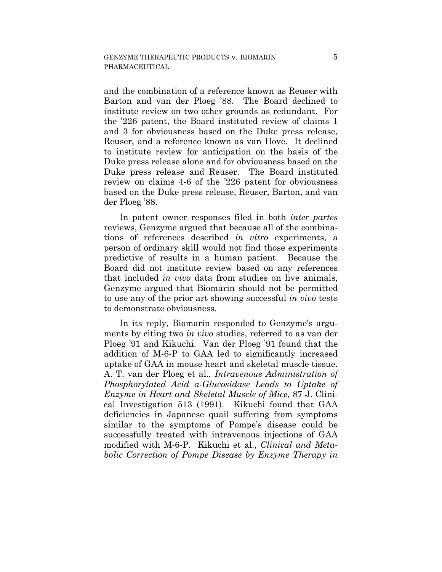and the combination of a reference known as Reuser with Barton and van der Ploeg '88. The Board declined to institute review on two other grounds as redundant. For the '226 patent, the Board instituted review of claims 1 and 3 for obviousness based on the Duke press release, Reuser, and a reference known as van Hove. It declined to institute review for anticipation on the basis of the Duke press release alone and for obviousness based on the Duke press release and Reuser. The Board instituted review on claims 4-6 of the '226 patent for obviousness based on the Duke press release, Reuser, Barton, and van der Ploeg '88.

In patent owner responses filed in both *inter partes*  reviews, Genzyme argued that because all of the combinations of references described *in vitro* experiments, a person of ordinary skill would not find those experiments predictive of results in a human patient. Because the Board did not institute review based on any references that included *in vivo* data from studies on live animals, Genzyme argued that Biomarin should not be permitted to use any of the prior art showing successful *in vivo* tests to demonstrate obviousness.

In its reply, Biomarin responded to Genzyme's arguments by citing two *in vivo* studies, referred to as van der Ploeg '91 and Kikuchi. Van der Ploeg '91 found that the addition of M-6-P to GAA led to significantly increased uptake of GAA in mouse heart and skeletal muscle tissue. A. T. van der Ploeg et al., *Intravenous Administration of Phosphorylated Acid α-Glucosidase Leads to Uptake of Enzyme in Heart and Skeletal Muscle of Mice*, 87 J. Clinical Investigation 513 (1991). Kikuchi found that GAA deficiencies in Japanese quail suffering from symptoms similar to the symptoms of Pompe's disease could be successfully treated with intravenous injections of GAA modified with M-6-P. Kikuchi et al., *Clinical and Metabolic Correction of Pompe Disease by Enzyme Therapy in*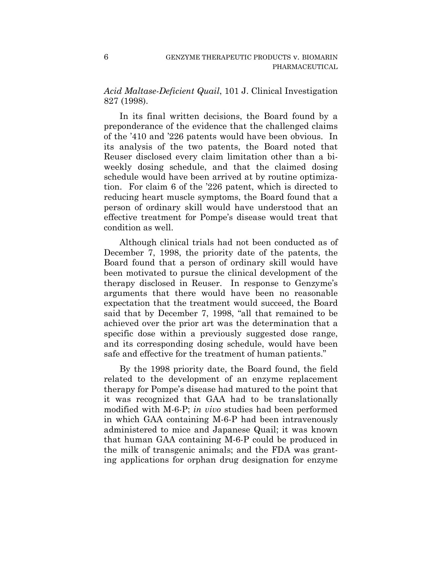*Acid Maltase-Deficient Quail*, 101 J. Clinical Investigation 827 (1998).

In its final written decisions, the Board found by a preponderance of the evidence that the challenged claims of the '410 and '226 patents would have been obvious. In its analysis of the two patents, the Board noted that Reuser disclosed every claim limitation other than a biweekly dosing schedule, and that the claimed dosing schedule would have been arrived at by routine optimization. For claim 6 of the '226 patent, which is directed to reducing heart muscle symptoms, the Board found that a person of ordinary skill would have understood that an effective treatment for Pompe's disease would treat that condition as well.

Although clinical trials had not been conducted as of December 7, 1998, the priority date of the patents, the Board found that a person of ordinary skill would have been motivated to pursue the clinical development of the therapy disclosed in Reuser. In response to Genzyme's arguments that there would have been no reasonable expectation that the treatment would succeed, the Board said that by December 7, 1998, "all that remained to be achieved over the prior art was the determination that a specific dose within a previously suggested dose range, and its corresponding dosing schedule, would have been safe and effective for the treatment of human patients."

By the 1998 priority date, the Board found, the field related to the development of an enzyme replacement therapy for Pompe's disease had matured to the point that it was recognized that GAA had to be translationally modified with M-6-P; *in vivo* studies had been performed in which GAA containing M-6-P had been intravenously administered to mice and Japanese Quail; it was known that human GAA containing M-6-P could be produced in the milk of transgenic animals; and the FDA was granting applications for orphan drug designation for enzyme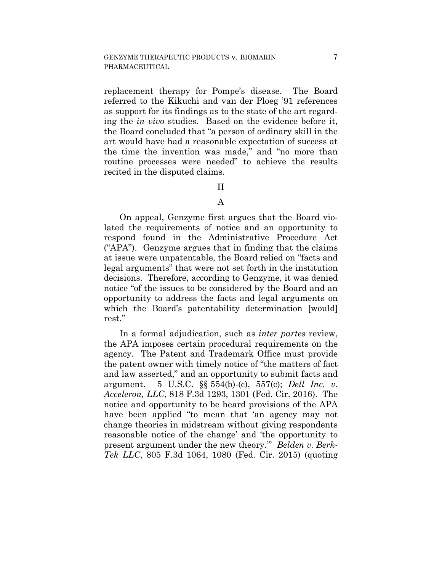replacement therapy for Pompe's disease. The Board referred to the Kikuchi and van der Ploeg '91 references as support for its findings as to the state of the art regarding the *in vivo* studies. Based on the evidence before it, the Board concluded that "a person of ordinary skill in the art would have had a reasonable expectation of success at the time the invention was made," and "no more than routine processes were needed" to achieve the results recited in the disputed claims.

#### II

#### A

On appeal, Genzyme first argues that the Board violated the requirements of notice and an opportunity to respond found in the Administrative Procedure Act ("APA"). Genzyme argues that in finding that the claims at issue were unpatentable, the Board relied on "facts and legal arguments" that were not set forth in the institution decisions. Therefore, according to Genzyme, it was denied notice "of the issues to be considered by the Board and an opportunity to address the facts and legal arguments on which the Board's patentability determination [would] rest."

In a formal adjudication, such as *inter partes* review, the APA imposes certain procedural requirements on the agency. The Patent and Trademark Office must provide the patent owner with timely notice of "the matters of fact and law asserted," and an opportunity to submit facts and argument. 5 U.S.C. §§ 554(b)-(c), 557(c); *Dell Inc. v. Acceleron, LLC*, 818 F.3d 1293, 1301 (Fed. Cir. 2016). The notice and opportunity to be heard provisions of the APA have been applied "to mean that 'an agency may not change theories in midstream without giving respondents reasonable notice of the change' and 'the opportunity to present argument under the new theory.'" *Belden v. Berk-Tek LLC*, 805 F.3d 1064, 1080 (Fed. Cir. 2015) (quoting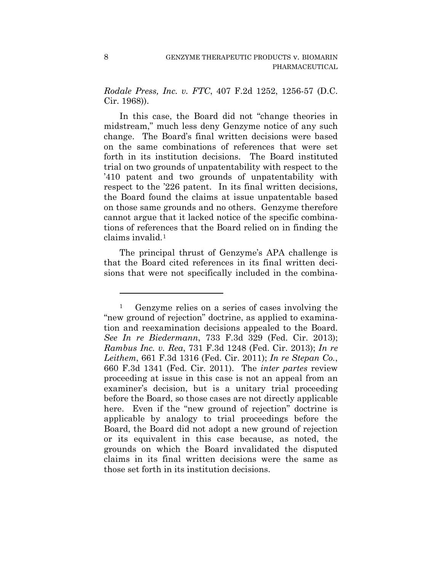*Rodale Press, Inc. v. FTC*, 407 F.2d 1252, 1256-57 (D.C. Cir. 1968)).

In this case, the Board did not "change theories in midstream," much less deny Genzyme notice of any such change. The Board's final written decisions were based on the same combinations of references that were set forth in its institution decisions. The Board instituted trial on two grounds of unpatentability with respect to the '410 patent and two grounds of unpatentability with respect to the '226 patent. In its final written decisions, the Board found the claims at issue unpatentable based on those same grounds and no others. Genzyme therefore cannot argue that it lacked notice of the specific combinations of references that the Board relied on in finding the claims invalid.1

The principal thrust of Genzyme's APA challenge is that the Board cited references in its final written decisions that were not specifically included in the combina-

1

<sup>1</sup> Genzyme relies on a series of cases involving the "new ground of rejection" doctrine, as applied to examination and reexamination decisions appealed to the Board. *See In re Biedermann*, 733 F.3d 329 (Fed. Cir. 2013); *Rambus Inc. v. Rea*, 731 F.3d 1248 (Fed. Cir. 2013); *In re Leithem*, 661 F.3d 1316 (Fed. Cir. 2011); *In re Stepan Co.*, 660 F.3d 1341 (Fed. Cir. 2011). The *inter partes* review proceeding at issue in this case is not an appeal from an examiner's decision, but is a unitary trial proceeding before the Board, so those cases are not directly applicable here. Even if the "new ground of rejection" doctrine is applicable by analogy to trial proceedings before the Board, the Board did not adopt a new ground of rejection or its equivalent in this case because, as noted, the grounds on which the Board invalidated the disputed claims in its final written decisions were the same as those set forth in its institution decisions.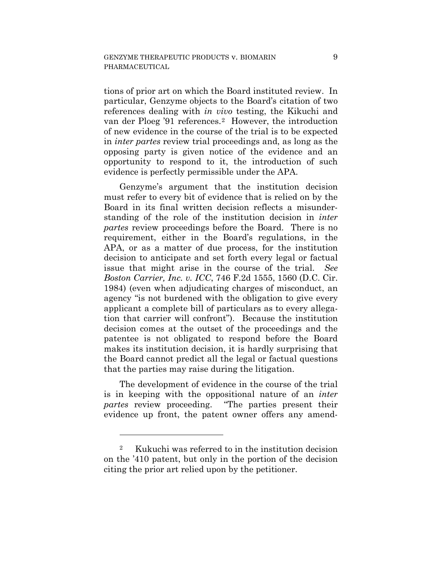tions of prior art on which the Board instituted review. In particular, Genzyme objects to the Board's citation of two references dealing with *in vivo* testing, the Kikuchi and van der Ploeg '91 references.2 However, the introduction of new evidence in the course of the trial is to be expected in *inter partes* review trial proceedings and, as long as the opposing party is given notice of the evidence and an opportunity to respond to it, the introduction of such evidence is perfectly permissible under the APA.

Genzyme's argument that the institution decision must refer to every bit of evidence that is relied on by the Board in its final written decision reflects a misunderstanding of the role of the institution decision in *inter partes* review proceedings before the Board. There is no requirement, either in the Board's regulations, in the APA, or as a matter of due process, for the institution decision to anticipate and set forth every legal or factual issue that might arise in the course of the trial. *See Boston Carrier, Inc. v. ICC*, 746 F.2d 1555, 1560 (D.C. Cir. 1984) (even when adjudicating charges of misconduct, an agency "is not burdened with the obligation to give every applicant a complete bill of particulars as to every allegation that carrier will confront"). Because the institution decision comes at the outset of the proceedings and the patentee is not obligated to respond before the Board makes its institution decision, it is hardly surprising that the Board cannot predict all the legal or factual questions that the parties may raise during the litigation.

The development of evidence in the course of the trial is in keeping with the oppositional nature of an *inter partes* review proceeding. "The parties present their evidence up front, the patent owner offers any amend-

1

<sup>2</sup> Kukuchi was referred to in the institution decision on the '410 patent, but only in the portion of the decision citing the prior art relied upon by the petitioner.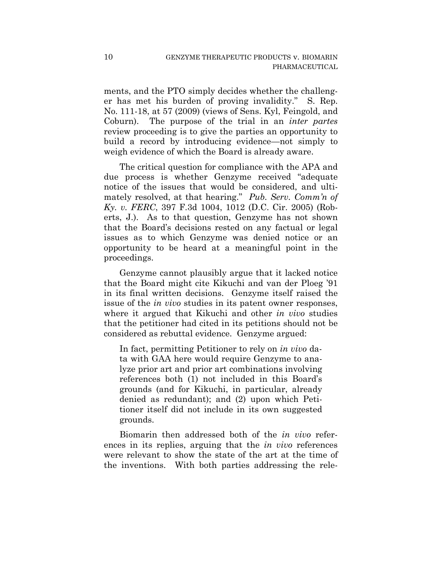ments, and the PTO simply decides whether the challenger has met his burden of proving invalidity." S. Rep. No. 111-18, at 57 (2009) (views of Sens. Kyl, Feingold, and Coburn). The purpose of the trial in an *inter partes*  review proceeding is to give the parties an opportunity to build a record by introducing evidence—not simply to weigh evidence of which the Board is already aware.

The critical question for compliance with the APA and due process is whether Genzyme received "adequate notice of the issues that would be considered, and ultimately resolved, at that hearing." *Pub. Serv. Comm'n of Ky. v. FERC*, 397 F.3d 1004, 1012 (D.C. Cir. 2005) (Roberts, J.). As to that question, Genzyme has not shown that the Board's decisions rested on any factual or legal issues as to which Genzyme was denied notice or an opportunity to be heard at a meaningful point in the proceedings.

Genzyme cannot plausibly argue that it lacked notice that the Board might cite Kikuchi and van der Ploeg '91 in its final written decisions. Genzyme itself raised the issue of the *in vivo* studies in its patent owner responses, where it argued that Kikuchi and other *in vivo* studies that the petitioner had cited in its petitions should not be considered as rebuttal evidence. Genzyme argued:

In fact, permitting Petitioner to rely on *in vivo* data with GAA here would require Genzyme to analyze prior art and prior art combinations involving references both (1) not included in this Board's grounds (and for Kikuchi, in particular, already denied as redundant); and (2) upon which Petitioner itself did not include in its own suggested grounds.

Biomarin then addressed both of the *in vivo* references in its replies, arguing that the *in vivo* references were relevant to show the state of the art at the time of the inventions. With both parties addressing the rele-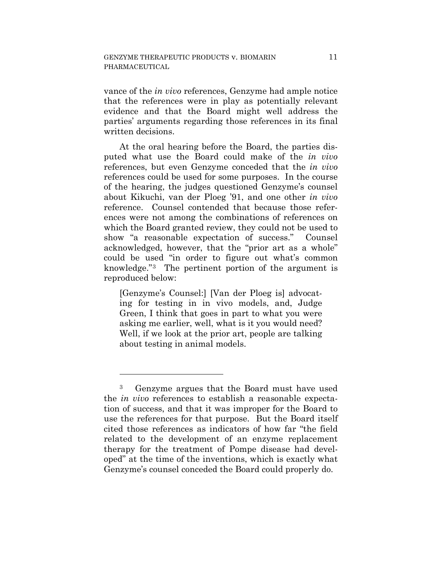vance of the *in vivo* references, Genzyme had ample notice that the references were in play as potentially relevant evidence and that the Board might well address the parties' arguments regarding those references in its final written decisions.

At the oral hearing before the Board, the parties disputed what use the Board could make of the *in vivo* references, but even Genzyme conceded that the *in vivo*  references could be used for some purposes. In the course of the hearing, the judges questioned Genzyme's counsel about Kikuchi, van der Ploeg '91, and one other *in vivo*  reference. Counsel contended that because those references were not among the combinations of references on which the Board granted review, they could not be used to show "a reasonable expectation of success." Counsel acknowledged, however, that the "prior art as a whole" could be used "in order to figure out what's common knowledge."3 The pertinent portion of the argument is reproduced below:

[Genzyme's Counsel:] [Van der Ploeg is] advocating for testing in in vivo models, and, Judge Green, I think that goes in part to what you were asking me earlier, well, what is it you would need? Well, if we look at the prior art, people are talking about testing in animal models.

1

<sup>3</sup> Genzyme argues that the Board must have used the *in vivo* references to establish a reasonable expectation of success, and that it was improper for the Board to use the references for that purpose. But the Board itself cited those references as indicators of how far "the field related to the development of an enzyme replacement therapy for the treatment of Pompe disease had developed" at the time of the inventions, which is exactly what Genzyme's counsel conceded the Board could properly do.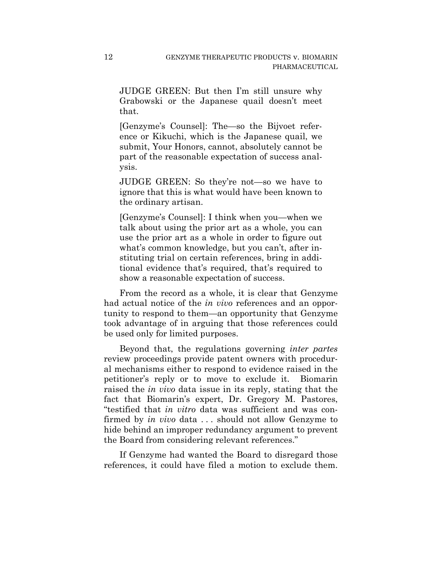JUDGE GREEN: But then I'm still unsure why Grabowski or the Japanese quail doesn't meet that.

[Genzyme's Counsel]: The—so the Bijvoet reference or Kikuchi, which is the Japanese quail, we submit, Your Honors, cannot, absolutely cannot be part of the reasonable expectation of success analysis.

JUDGE GREEN: So they're not—so we have to ignore that this is what would have been known to the ordinary artisan.

[Genzyme's Counsel]: I think when you—when we talk about using the prior art as a whole, you can use the prior art as a whole in order to figure out what's common knowledge, but you can't, after instituting trial on certain references, bring in additional evidence that's required, that's required to show a reasonable expectation of success.

From the record as a whole, it is clear that Genzyme had actual notice of the *in vivo* references and an opportunity to respond to them—an opportunity that Genzyme took advantage of in arguing that those references could be used only for limited purposes.

Beyond that, the regulations governing *inter partes* review proceedings provide patent owners with procedural mechanisms either to respond to evidence raised in the petitioner's reply or to move to exclude it. Biomarin raised the *in vivo* data issue in its reply, stating that the fact that Biomarin's expert, Dr. Gregory M. Pastores, "testified that *in vitro* data was sufficient and was confirmed by *in vivo* data . . . should not allow Genzyme to hide behind an improper redundancy argument to prevent the Board from considering relevant references."

If Genzyme had wanted the Board to disregard those references, it could have filed a motion to exclude them.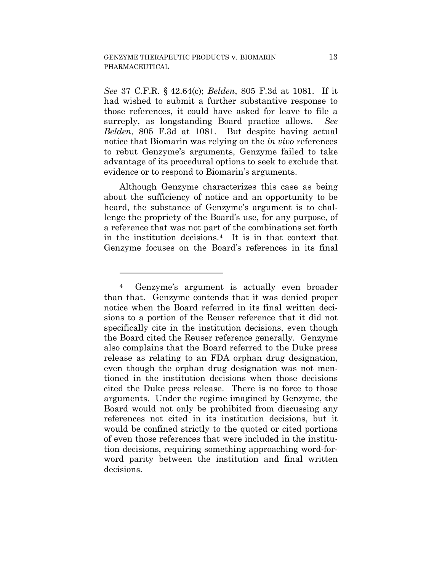<u>.</u>

*See* 37 C.F.R. § 42.64(c); *Belden*, 805 F.3d at 1081. If it had wished to submit a further substantive response to those references, it could have asked for leave to file a surreply, as longstanding Board practice allows. *See Belden*, 805 F.3d at 1081. But despite having actual notice that Biomarin was relying on the *in vivo* references to rebut Genzyme's arguments, Genzyme failed to take advantage of its procedural options to seek to exclude that evidence or to respond to Biomarin's arguments.

Although Genzyme characterizes this case as being about the sufficiency of notice and an opportunity to be heard, the substance of Genzyme's argument is to challenge the propriety of the Board's use, for any purpose, of a reference that was not part of the combinations set forth in the institution decisions.4 It is in that context that Genzyme focuses on the Board's references in its final

<sup>4</sup> Genzyme's argument is actually even broader than that. Genzyme contends that it was denied proper notice when the Board referred in its final written decisions to a portion of the Reuser reference that it did not specifically cite in the institution decisions, even though the Board cited the Reuser reference generally. Genzyme also complains that the Board referred to the Duke press release as relating to an FDA orphan drug designation, even though the orphan drug designation was not mentioned in the institution decisions when those decisions cited the Duke press release. There is no force to those arguments. Under the regime imagined by Genzyme, the Board would not only be prohibited from discussing any references not cited in its institution decisions, but it would be confined strictly to the quoted or cited portions of even those references that were included in the institution decisions, requiring something approaching word-forword parity between the institution and final written decisions.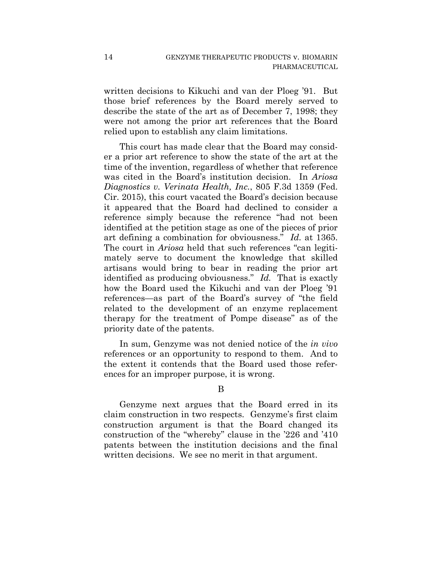written decisions to Kikuchi and van der Ploeg '91. But those brief references by the Board merely served to describe the state of the art as of December 7, 1998; they were not among the prior art references that the Board relied upon to establish any claim limitations.

This court has made clear that the Board may consider a prior art reference to show the state of the art at the time of the invention, regardless of whether that reference was cited in the Board's institution decision. In *Ariosa Diagnostics v. Verinata Health, Inc.*, 805 F.3d 1359 (Fed. Cir. 2015), this court vacated the Board's decision because it appeared that the Board had declined to consider a reference simply because the reference "had not been identified at the petition stage as one of the pieces of prior art defining a combination for obviousness." *Id.* at 1365. The court in *Ariosa* held that such references "can legitimately serve to document the knowledge that skilled artisans would bring to bear in reading the prior art identified as producing obviousness." *Id.* That is exactly how the Board used the Kikuchi and van der Ploeg '91 references—as part of the Board's survey of "the field related to the development of an enzyme replacement therapy for the treatment of Pompe disease" as of the priority date of the patents.

In sum, Genzyme was not denied notice of the *in vivo* references or an opportunity to respond to them. And to the extent it contends that the Board used those references for an improper purpose, it is wrong.

## B

Genzyme next argues that the Board erred in its claim construction in two respects. Genzyme's first claim construction argument is that the Board changed its construction of the "whereby" clause in the '226 and '410 patents between the institution decisions and the final written decisions. We see no merit in that argument.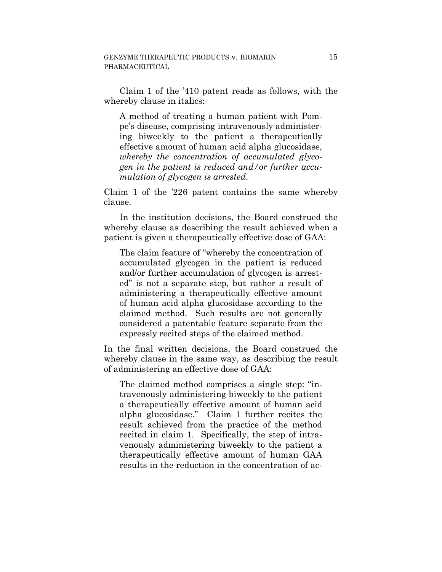Claim 1 of the '410 patent reads as follows, with the whereby clause in italics:

A method of treating a human patient with Pompe's disease, comprising intravenously administering biweekly to the patient a therapeutically effective amount of human acid alpha glucosidase, *whereby the concentration of accumulated glycogen in the patient is reduced and/or further accumulation of glycogen is arrested*.

Claim 1 of the '226 patent contains the same whereby clause.

In the institution decisions, the Board construed the whereby clause as describing the result achieved when a patient is given a therapeutically effective dose of GAA:

The claim feature of "whereby the concentration of accumulated glycogen in the patient is reduced and/or further accumulation of glycogen is arrested" is not a separate step, but rather a result of administering a therapeutically effective amount of human acid alpha glucosidase according to the claimed method. Such results are not generally considered a patentable feature separate from the expressly recited steps of the claimed method.

In the final written decisions, the Board construed the whereby clause in the same way, as describing the result of administering an effective dose of GAA:

The claimed method comprises a single step: "intravenously administering biweekly to the patient a therapeutically effective amount of human acid alpha glucosidase." Claim 1 further recites the result achieved from the practice of the method recited in claim 1. Specifically, the step of intravenously administering biweekly to the patient a therapeutically effective amount of human GAA results in the reduction in the concentration of ac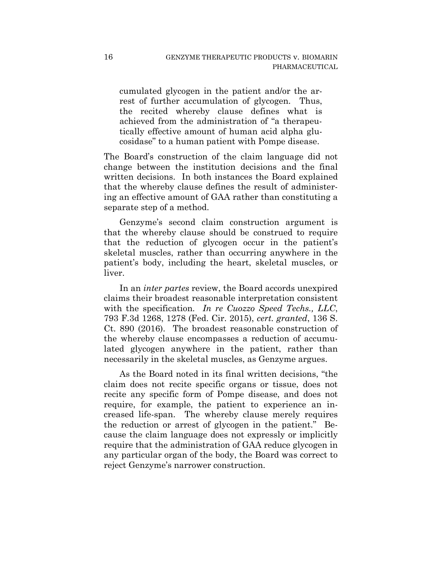cumulated glycogen in the patient and/or the arrest of further accumulation of glycogen. Thus, the recited whereby clause defines what is achieved from the administration of "a therapeutically effective amount of human acid alpha glucosidase" to a human patient with Pompe disease.

The Board's construction of the claim language did not change between the institution decisions and the final written decisions. In both instances the Board explained that the whereby clause defines the result of administering an effective amount of GAA rather than constituting a separate step of a method.

Genzyme's second claim construction argument is that the whereby clause should be construed to require that the reduction of glycogen occur in the patient's skeletal muscles, rather than occurring anywhere in the patient's body, including the heart, skeletal muscles, or liver.

In an *inter partes* review, the Board accords unexpired claims their broadest reasonable interpretation consistent with the specification. *In re Cuozzo Speed Techs., LLC*, 793 F.3d 1268, 1278 (Fed. Cir. 2015), *cert. granted*, 136 S. Ct. 890 (2016). The broadest reasonable construction of the whereby clause encompasses a reduction of accumulated glycogen anywhere in the patient, rather than necessarily in the skeletal muscles, as Genzyme argues.

As the Board noted in its final written decisions, "the claim does not recite specific organs or tissue, does not recite any specific form of Pompe disease, and does not require, for example, the patient to experience an increased life-span. The whereby clause merely requires the reduction or arrest of glycogen in the patient." Because the claim language does not expressly or implicitly require that the administration of GAA reduce glycogen in any particular organ of the body, the Board was correct to reject Genzyme's narrower construction.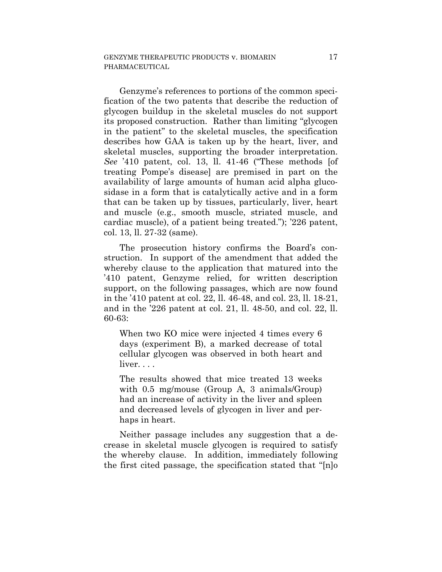Genzyme's references to portions of the common specification of the two patents that describe the reduction of glycogen buildup in the skeletal muscles do not support its proposed construction. Rather than limiting "glycogen in the patient" to the skeletal muscles, the specification describes how GAA is taken up by the heart, liver, and skeletal muscles, supporting the broader interpretation. *See* '410 patent, col. 13, ll. 41-46 ("These methods [of treating Pompe's disease] are premised in part on the availability of large amounts of human acid alpha glucosidase in a form that is catalytically active and in a form that can be taken up by tissues, particularly, liver, heart and muscle (e.g., smooth muscle, striated muscle, and cardiac muscle), of a patient being treated."); '226 patent, col. 13, ll. 27-32 (same).

The prosecution history confirms the Board's construction. In support of the amendment that added the whereby clause to the application that matured into the '410 patent, Genzyme relied, for written description support, on the following passages, which are now found in the '410 patent at col. 22, ll. 46-48, and col. 23, ll. 18-21, and in the '226 patent at col. 21, ll. 48-50, and col. 22, ll. 60-63:

When two KO mice were injected 4 times every 6 days (experiment B), a marked decrease of total cellular glycogen was observed in both heart and liver...

The results showed that mice treated 13 weeks with 0.5 mg/mouse (Group A, 3 animals/Group) had an increase of activity in the liver and spleen and decreased levels of glycogen in liver and perhaps in heart.

Neither passage includes any suggestion that a decrease in skeletal muscle glycogen is required to satisfy the whereby clause. In addition, immediately following the first cited passage, the specification stated that "[n]o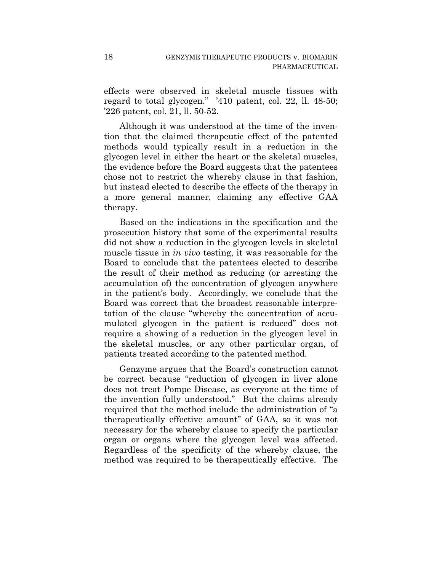effects were observed in skeletal muscle tissues with regard to total glycogen." '410 patent, col. 22, ll. 48-50; '226 patent, col. 21, ll. 50-52.

Although it was understood at the time of the invention that the claimed therapeutic effect of the patented methods would typically result in a reduction in the glycogen level in either the heart or the skeletal muscles, the evidence before the Board suggests that the patentees chose not to restrict the whereby clause in that fashion, but instead elected to describe the effects of the therapy in a more general manner, claiming any effective GAA therapy.

Based on the indications in the specification and the prosecution history that some of the experimental results did not show a reduction in the glycogen levels in skeletal muscle tissue in *in vivo* testing, it was reasonable for the Board to conclude that the patentees elected to describe the result of their method as reducing (or arresting the accumulation of) the concentration of glycogen anywhere in the patient's body. Accordingly, we conclude that the Board was correct that the broadest reasonable interpretation of the clause "whereby the concentration of accumulated glycogen in the patient is reduced" does not require a showing of a reduction in the glycogen level in the skeletal muscles, or any other particular organ, of patients treated according to the patented method.

Genzyme argues that the Board's construction cannot be correct because "reduction of glycogen in liver alone does not treat Pompe Disease, as everyone at the time of the invention fully understood." But the claims already required that the method include the administration of "a therapeutically effective amount" of GAA, so it was not necessary for the whereby clause to specify the particular organ or organs where the glycogen level was affected. Regardless of the specificity of the whereby clause, the method was required to be therapeutically effective. The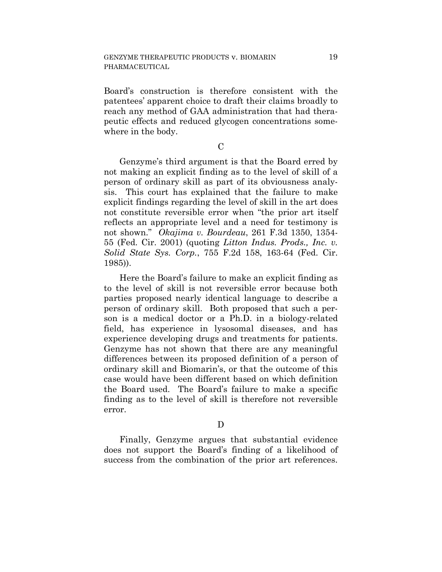Board's construction is therefore consistent with the patentees' apparent choice to draft their claims broadly to reach any method of GAA administration that had therapeutic effects and reduced glycogen concentrations somewhere in the body.

 $\mathcal{C}$ 

Genzyme's third argument is that the Board erred by not making an explicit finding as to the level of skill of a person of ordinary skill as part of its obviousness analysis. This court has explained that the failure to make explicit findings regarding the level of skill in the art does not constitute reversible error when "the prior art itself reflects an appropriate level and a need for testimony is not shown." *Okajima v. Bourdeau*, 261 F.3d 1350, 1354- 55 (Fed. Cir. 2001) (quoting *Litton Indus. Prods., Inc. v. Solid State Sys. Corp.*, 755 F.2d 158, 163-64 (Fed. Cir. 1985)).

Here the Board's failure to make an explicit finding as to the level of skill is not reversible error because both parties proposed nearly identical language to describe a person of ordinary skill. Both proposed that such a person is a medical doctor or a Ph.D. in a biology-related field, has experience in lysosomal diseases, and has experience developing drugs and treatments for patients. Genzyme has not shown that there are any meaningful differences between its proposed definition of a person of ordinary skill and Biomarin's, or that the outcome of this case would have been different based on which definition the Board used. The Board's failure to make a specific finding as to the level of skill is therefore not reversible error.

D

Finally, Genzyme argues that substantial evidence does not support the Board's finding of a likelihood of success from the combination of the prior art references.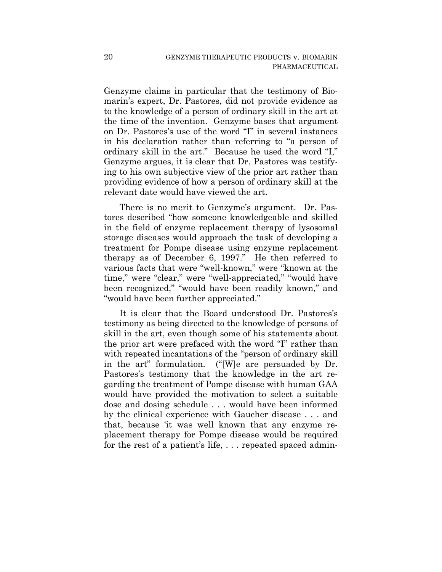Genzyme claims in particular that the testimony of Biomarin's expert, Dr. Pastores, did not provide evidence as to the knowledge of a person of ordinary skill in the art at the time of the invention. Genzyme bases that argument on Dr. Pastores's use of the word "I" in several instances in his declaration rather than referring to "a person of ordinary skill in the art." Because he used the word "I," Genzyme argues, it is clear that Dr. Pastores was testifying to his own subjective view of the prior art rather than providing evidence of how a person of ordinary skill at the relevant date would have viewed the art.

There is no merit to Genzyme's argument. Dr. Pastores described "how someone knowledgeable and skilled in the field of enzyme replacement therapy of lysosomal storage diseases would approach the task of developing a treatment for Pompe disease using enzyme replacement therapy as of December 6, 1997." He then referred to various facts that were "well-known," were "known at the time," were "clear," were "well-appreciated," "would have been recognized," "would have been readily known," and "would have been further appreciated."

It is clear that the Board understood Dr. Pastores's testimony as being directed to the knowledge of persons of skill in the art, even though some of his statements about the prior art were prefaced with the word "I" rather than with repeated incantations of the "person of ordinary skill in the art" formulation. ("[W]e are persuaded by Dr. Pastores's testimony that the knowledge in the art regarding the treatment of Pompe disease with human GAA would have provided the motivation to select a suitable dose and dosing schedule . . . would have been informed by the clinical experience with Gaucher disease . . . and that, because 'it was well known that any enzyme replacement therapy for Pompe disease would be required for the rest of a patient's life, ... repeated spaced admin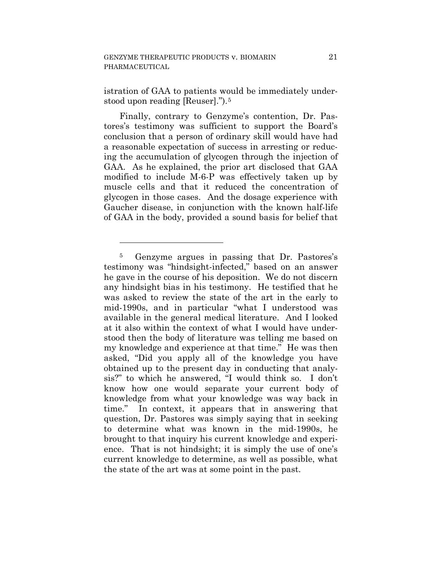<u>.</u>

istration of GAA to patients would be immediately understood upon reading [Reuser].").5

Finally, contrary to Genzyme's contention, Dr. Pastores's testimony was sufficient to support the Board's conclusion that a person of ordinary skill would have had a reasonable expectation of success in arresting or reducing the accumulation of glycogen through the injection of GAA. As he explained, the prior art disclosed that GAA modified to include M-6-P was effectively taken up by muscle cells and that it reduced the concentration of glycogen in those cases. And the dosage experience with Gaucher disease, in conjunction with the known half-life of GAA in the body, provided a sound basis for belief that

<sup>5</sup> Genzyme argues in passing that Dr. Pastores's testimony was "hindsight-infected," based on an answer he gave in the course of his deposition. We do not discern any hindsight bias in his testimony. He testified that he was asked to review the state of the art in the early to mid-1990s, and in particular "what I understood was available in the general medical literature. And I looked at it also within the context of what I would have understood then the body of literature was telling me based on my knowledge and experience at that time." He was then asked, "Did you apply all of the knowledge you have obtained up to the present day in conducting that analysis?" to which he answered, "I would think so. I don't know how one would separate your current body of knowledge from what your knowledge was way back in time." In context, it appears that in answering that question, Dr. Pastores was simply saying that in seeking to determine what was known in the mid-1990s, he brought to that inquiry his current knowledge and experience. That is not hindsight; it is simply the use of one's current knowledge to determine, as well as possible, what the state of the art was at some point in the past.